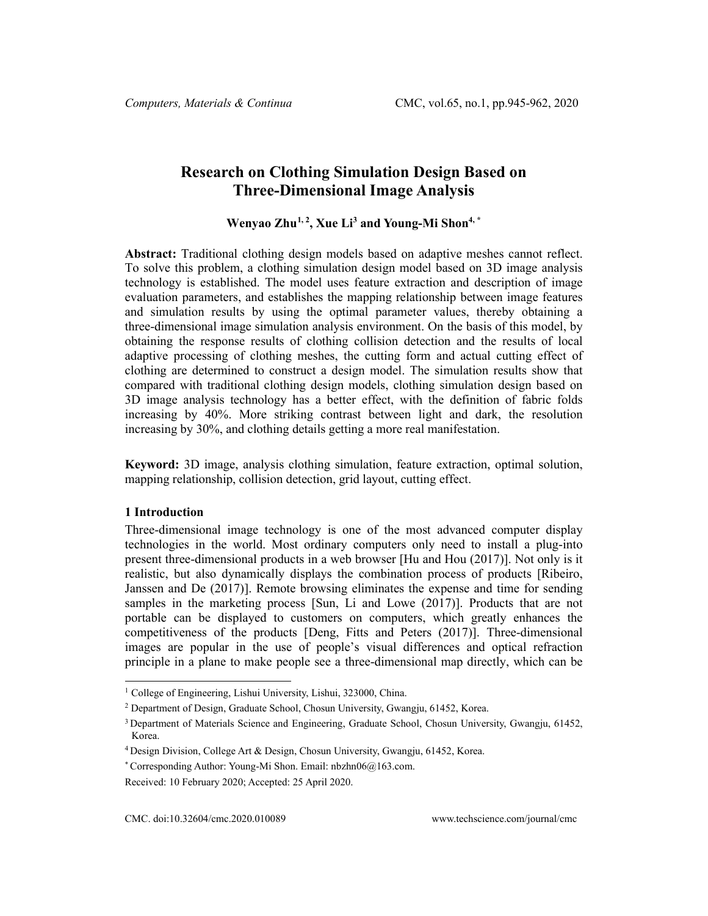# **Research on Clothing Simulation Design Based on Three-Dimensional Image Analysis**

**Wenyao Zhu[1,](#page-0-0) <sup>2</sup> , Xue Li3 and Young-Mi Shon4, \***

**Abstract:** Traditional clothing design models based on adaptive meshes cannot reflect. To solve this problem, a clothing simulation design model based on 3D image analysis technology is established. The model uses feature extraction and description of image evaluation parameters, and establishes the mapping relationship between image features and simulation results by using the optimal parameter values, thereby obtaining a three-dimensional image simulation analysis environment. On the basis of this model, by obtaining the response results of clothing collision detection and the results of local adaptive processing of clothing meshes, the cutting form and actual cutting effect of clothing are determined to construct a design model. The simulation results show that compared with traditional clothing design models, clothing simulation design based on 3D image analysis technology has a better effect, with the definition of fabric folds increasing by 40%. More striking contrast between light and dark, the resolution increasing by 30%, and clothing details getting a more real manifestation.

**Keyword:** 3D image, analysis clothing simulation, feature extraction, optimal solution, mapping relationship, collision detection, grid layout, cutting effect.

### **1 Introduction**

Three-dimensional image technology is one of the most advanced computer display technologies in the world. Most ordinary computers only need to install a plug-into present three-dimensional products in a web browser [Hu and Hou (2017)]. Not only is it realistic, but also dynamically displays the combination process of products [Ribeiro, Janssen and De (2017)]. Remote browsing eliminates the expense and time for sending samples in the marketing process [Sun, Li and Lowe (2017)]. Products that are not portable can be displayed to customers on computers, which greatly enhances the competitiveness of the products [Deng, Fitts and Peters (2017)]. Three-dimensional images are popular in the use of people's visual differences and optical refraction principle in a plane to make people see a three-dimensional map directly, which can be

<span id="page-0-0"></span><sup>&</sup>lt;sup>1</sup> College of Engineering, Lishui University, Lishui, 323000, China.

<sup>2</sup> Department of Design, Graduate School, Chosun University, Gwangju, 61452, Korea.

<sup>&</sup>lt;sup>3</sup> Department of Materials Science and Engineering, Graduate School, Chosun University, Gwangju, 61452, Korea.

<sup>4</sup> Design Division, College Art & Design, Chosun University, Gwangju, 61452, Korea.

<sup>\*</sup> Corresponding Author: Young-Mi Shon. Email[: nbzhn06@163.com.](mailto:nbzhn06@163.com)

Received: 10 February 2020; Accepted: 25 April 2020.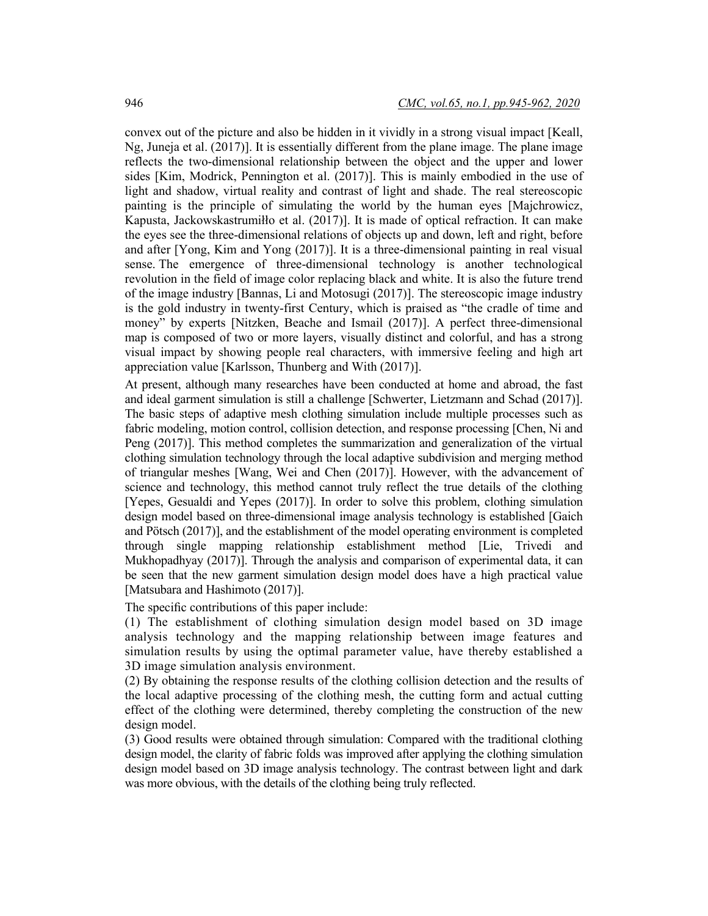convex out of the picture and also be hidden in it vividly in a strong visual impact [Keall, Ng, Juneja et al. (2017)]. It is essentially different from the plane image. The plane image reflects the two-dimensional relationship between the object and the upper and lower sides [Kim, Modrick, Pennington et al. (2017)]. This is mainly embodied in the use of light and shadow, virtual reality and contrast of light and shade. The real stereoscopic painting is the principle of simulating the world by the human eyes [Majchrowicz, Kapusta, Jackowskastrumiłło et al. (2017)]. It is made of optical refraction. It can make the eyes see the three-dimensional relations of objects up and down, left and right, before and after [Yong, Kim and Yong (2017)]. It is a three-dimensional painting in real visual sense. The emergence of three-dimensional technology is another technological revolution in the field of image color replacing black and white. It is also the future trend of the image industry [Bannas, Li and Motosugi (2017)]. The stereoscopic image industry is the gold industry in twenty-first Century, which is praised as "the cradle of time and money" by experts [Nitzken, Beache and Ismail (2017)]. A perfect three-dimensional map is composed of two or more layers, visually distinct and colorful, and has a strong visual impact by showing people real characters, with immersive feeling and high art appreciation value [Karlsson, Thunberg and With (2017)].

At present, although many researches have been conducted at home and abroad, the fast and ideal garment simulation is still a challenge [Schwerter, Lietzmann and Schad (2017)]. The basic steps of adaptive mesh clothing simulation include multiple processes such as fabric modeling, motion control, collision detection, and response processing [Chen, Ni and Peng (2017)]. This method completes the summarization and generalization of the virtual clothing simulation technology through the local adaptive subdivision and merging method of triangular meshes [Wang, Wei and Chen (2017)]. However, with the advancement of science and technology, this method cannot truly reflect the true details of the clothing [Yepes, Gesualdi and Yepes (2017)]. In order to solve this problem, clothing simulation design model based on three-dimensional image analysis technology is established [Gaich and Pötsch (2017)], and the establishment of the model operating environment is completed through single mapping relationship establishment method [Lie, Trivedi and Mukhopadhyay (2017)]. Through the analysis and comparison of experimental data, it can be seen that the new garment simulation design model does have a high practical value [Matsubara and Hashimoto (2017)].

The specific contributions of this paper include:

(1) The establishment of clothing simulation design model based on 3D image analysis technology and the mapping relationship between image features and simulation results by using the optimal parameter value, have thereby established a 3D image simulation analysis environment.

(2) By obtaining the response results of the clothing collision detection and the results of the local adaptive processing of the clothing mesh, the cutting form and actual cutting effect of the clothing were determined, thereby completing the construction of the new design model.

(3) Good results were obtained through simulation: Compared with the traditional clothing design model, the clarity of fabric folds was improved after applying the clothing simulation design model based on 3D image analysis technology. The contrast between light and dark was more obvious, with the details of the clothing being truly reflected.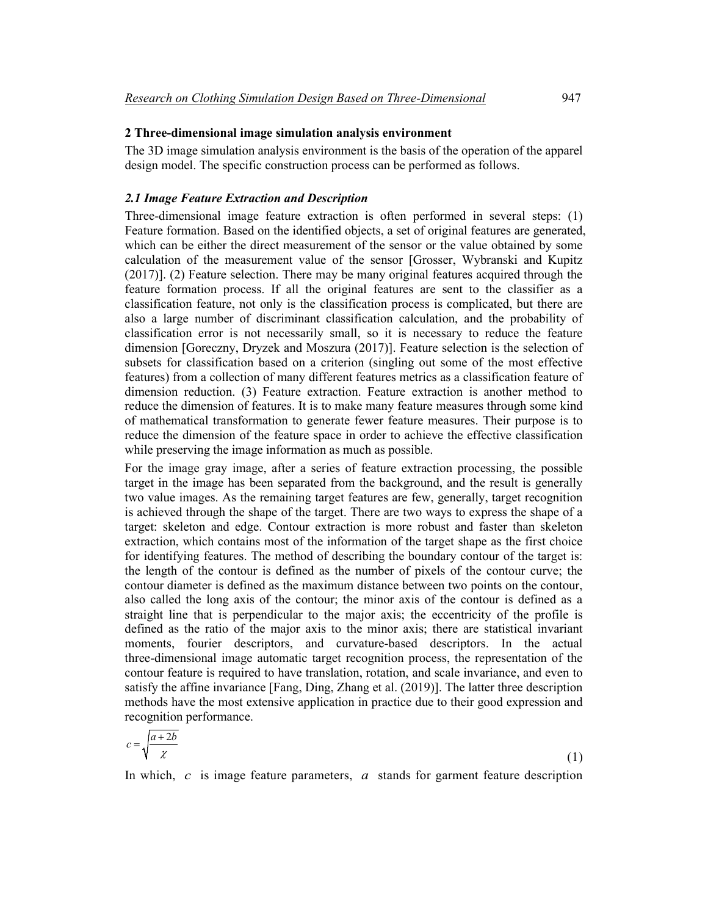## **2 Three-dimensional image simulation analysis environment**

The 3D image simulation analysis environment is the basis of the operation of the apparel design model. The specific construction process can be performed as follows.

#### *2.1 Image Feature Extraction and Description*

Three-dimensional image feature extraction is often performed in several steps: (1) Feature formation. Based on the identified objects, a set of original features are generated, which can be either the direct measurement of the sensor or the value obtained by some calculation of the measurement value of the sensor [Grosser, Wybranski and Kupitz (2017)]. (2) Feature selection. There may be many original features acquired through the feature formation process. If all the original features are sent to the classifier as a classification feature, not only is the classification process is complicated, but there are also a large number of discriminant classification calculation, and the probability of classification error is not necessarily small, so it is necessary to reduce the feature dimension [Goreczny, Dryzek and Moszura (2017)]. Feature selection is the selection of subsets for classification based on a criterion (singling out some of the most effective features) from a collection of many different features metrics as a classification feature of dimension reduction. (3) Feature extraction. Feature extraction is another method to reduce the dimension of features. It is to make many feature measures through some kind of mathematical transformation to generate fewer feature measures. Their purpose is to reduce the dimension of the feature space in order to achieve the effective classification while preserving the image information as much as possible.

For the image gray image, after a series of feature extraction processing, the possible target in the image has been separated from the background, and the result is generally two value images. As the remaining target features are few, generally, target recognition is achieved through the shape of the target. There are two ways to express the shape of a target: skeleton and edge. Contour extraction is more robust and faster than skeleton extraction, which contains most of the information of the target shape as the first choice for identifying features. The method of describing the boundary contour of the target is: the length of the contour is defined as the number of pixels of the contour curve; the contour diameter is defined as the maximum distance between two points on the contour, also called the long axis of the contour; the minor axis of the contour is defined as a straight line that is perpendicular to the major axis; the eccentricity of the profile is defined as the ratio of the major axis to the minor axis; there are statistical invariant moments, fourier descriptors, and curvature-based descriptors. In the actual three-dimensional image automatic target recognition process, the representation of the contour feature is required to have translation, rotation, and scale invariance, and even to satisfy the affine invariance [Fang, Ding, Zhang et al. (2019)]. The latter three description methods have the most extensive application in practice due to their good expression and recognition performance.

$$
c = \sqrt{\frac{a+2b}{\chi}}\tag{1}
$$

In which, *c* is image feature parameters, *a* stands for garment feature description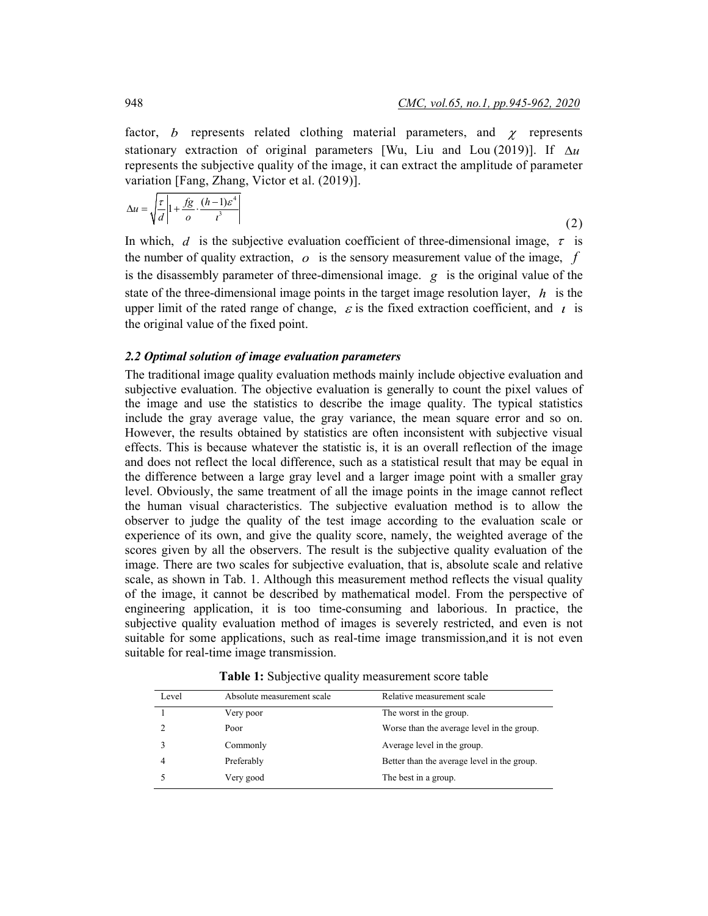factor,  $b$  represents related clothing material parameters, and  $\chi$  represents stationary extraction of original parameters [Wu, Liu and Lou (2019)]. If  $\Delta u$ represents the subjective quality of the image, it can extract the amplitude of parameter variation [Fang, Zhang, Victor et al. (2019)].

$$
\Delta u = \sqrt{\frac{\tau}{d} \left| 1 + \frac{fg}{o} \cdot \frac{(h-1)\varepsilon^4}{t^3} \right|}
$$
 (2)

In which, *d* is the subjective evaluation coefficient of three-dimensional image,  $\tau$  is the number of quality extraction, *o* is the sensory measurement value of the image, *f* is the disassembly parameter of three-dimensional image. *g* is the original value of the state of the three-dimensional image points in the target image resolution layer, *h* is the upper limit of the rated range of change,  $\varepsilon$  is the fixed extraction coefficient, and  $\iota$  is the original value of the fixed point.

#### *2.2 Optimal solution of image evaluation parameters*

The traditional image quality evaluation methods mainly include objective evaluation and subjective evaluation. The objective evaluation is generally to count the pixel values of the image and use the statistics to describe the image quality. The typical statistics include the gray average value, the gray variance, the mean square error and so on. However, the results obtained by statistics are often inconsistent with subjective visual effects. This is because whatever the statistic is, it is an overall reflection of the image and does not reflect the local difference, such as a statistical result that may be equal in the difference between a large gray level and a larger image point with a smaller gray level. Obviously, the same treatment of all the image points in the image cannot reflect the human visual characteristics. The subjective evaluation method is to allow the observer to judge the quality of the test image according to the evaluation scale or experience of its own, and give the quality score, namely, the weighted average of the scores given by all the observers. The result is the subjective quality evaluation of the image. There are two scales for subjective evaluation, that is, absolute scale and relative scale, as shown in Tab. 1. Although this measurement method reflects the visual quality of the image, it cannot be described by mathematical model. From the perspective of engineering application, it is too time-consuming and laborious. In practice, the subjective quality evaluation method of images is severely restricted, and even is not suitable for some applications, such as real-time image transmission,and it is not even suitable for real-time image transmission.

| Level | Absolute measurement scale | Relative measurement scale                  |
|-------|----------------------------|---------------------------------------------|
|       | Very poor                  | The worst in the group.                     |
|       | Poor                       | Worse than the average level in the group.  |
|       | Commonly                   | Average level in the group.                 |
| 4     | Preferably                 | Better than the average level in the group. |
|       | Very good                  | The best in a group.                        |

**Table 1:** Subjective quality measurement score table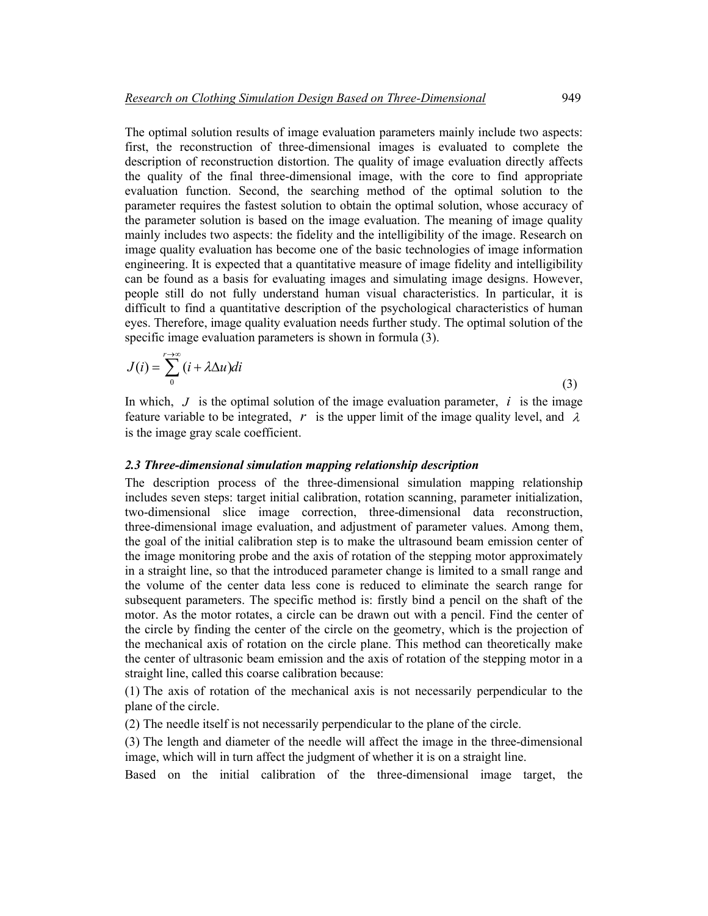The optimal solution results of image evaluation parameters mainly include two aspects: first, the reconstruction of three-dimensional images is evaluated to complete the description of reconstruction distortion. The quality of image evaluation directly affects the quality of the final three-dimensional image, with the core to find appropriate evaluation function. Second, the searching method of the optimal solution to the parameter requires the fastest solution to obtain the optimal solution, whose accuracy of the parameter solution is based on the image evaluation. The meaning of image quality mainly includes two aspects: the fidelity and the intelligibility of the image. Research on image quality evaluation has become one of the basic technologies of image information engineering. It is expected that a quantitative measure of image fidelity and intelligibility can be found as a basis for evaluating images and simulating image designs. However, people still do not fully understand human visual characteristics. In particular, it is difficult to find a quantitative description of the psychological characteristics of human eyes. Therefore, image quality evaluation needs further study. The optimal solution of the specific image evaluation parameters is shown in formula (3).

$$
J(i) = \sum_{0}^{r \to \infty} (i + \lambda \Delta u) di
$$
 (3)

In which,  $J$  is the optimal solution of the image evaluation parameter,  $i$  is the image feature variable to be integrated,  $r$  is the upper limit of the image quality level, and  $\lambda$ is the image gray scale coefficient.

# *2.3 Three-dimensional simulation mapping relationship description*

The description process of the three-dimensional simulation mapping relationship includes seven steps: target initial calibration, rotation scanning, parameter initialization, two-dimensional slice image correction, three-dimensional data reconstruction, three-dimensional image evaluation, and adjustment of parameter values. Among them, the goal of the initial calibration step is to make the ultrasound beam emission center of the image monitoring probe and the axis of rotation of the stepping motor approximately in a straight line, so that the introduced parameter change is limited to a small range and the volume of the center data less cone is reduced to eliminate the search range for subsequent parameters. The specific method is: firstly bind a pencil on the shaft of the motor. As the motor rotates, a circle can be drawn out with a pencil. Find the center of the circle by finding the center of the circle on the geometry, which is the projection of the mechanical axis of rotation on the circle plane. This method can theoretically make the center of ultrasonic beam emission and the axis of rotation of the stepping motor in a straight line, called this coarse calibration because:

(1) The axis of rotation of the mechanical axis is not necessarily perpendicular to the plane of the circle.

(2) The needle itself is not necessarily perpendicular to the plane of the circle.

(3) The length and diameter of the needle will affect the image in the three-dimensional image, which will in turn affect the judgment of whether it is on a straight line.

Based on the initial calibration of the three-dimensional image target, the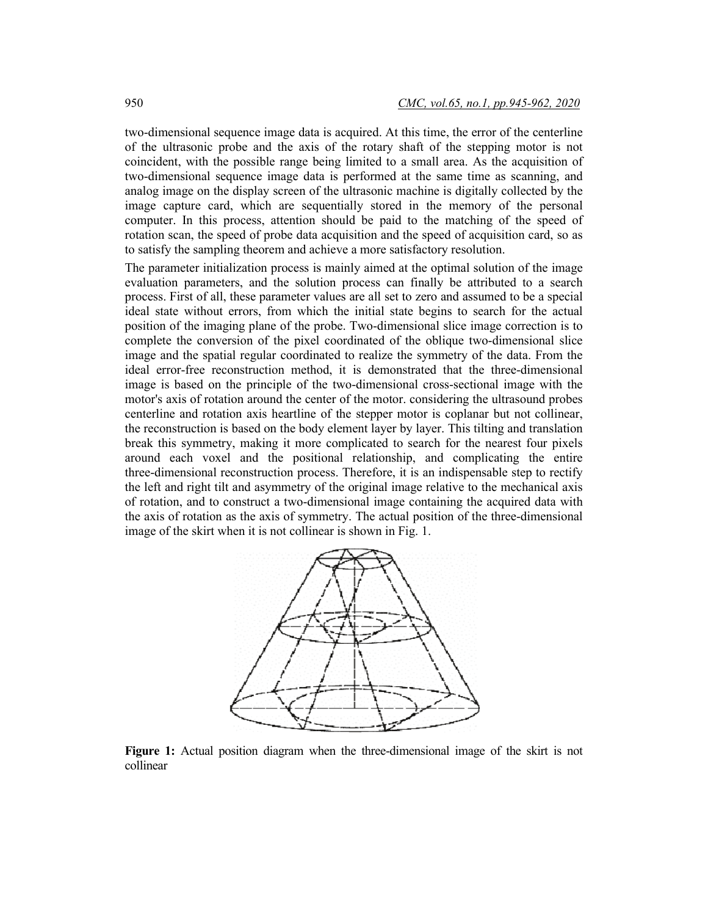two-dimensional sequence image data is acquired. At this time, the error of the centerline of the ultrasonic probe and the axis of the rotary shaft of the stepping motor is not coincident, with the possible range being limited to a small area. As the acquisition of two-dimensional sequence image data is performed at the same time as scanning, and analog image on the display screen of the ultrasonic machine is digitally collected by the image capture card, which are sequentially stored in the memory of the personal computer. In this process, attention should be paid to the matching of the speed of rotation scan, the speed of probe data acquisition and the speed of acquisition card, so as to satisfy the sampling theorem and achieve a more satisfactory resolution.

The parameter initialization process is mainly aimed at the optimal solution of the image evaluation parameters, and the solution process can finally be attributed to a search process. First of all, these parameter values are all set to zero and assumed to be a special ideal state without errors, from which the initial state begins to search for the actual position of the imaging plane of the probe. Two-dimensional slice image correction is to complete the conversion of the pixel coordinated of the oblique two-dimensional slice image and the spatial regular coordinated to realize the symmetry of the data. From the ideal error-free reconstruction method, it is demonstrated that the three-dimensional image is based on the principle of the two-dimensional cross-sectional image with the motor's axis of rotation around the center of the motor. considering the ultrasound probes centerline and rotation axis heartline of the stepper motor is coplanar but not collinear, the reconstruction is based on the body element layer by layer. This tilting and translation break this symmetry, making it more complicated to search for the nearest four pixels around each voxel and the positional relationship, and complicating the entire three-dimensional reconstruction process. Therefore, it is an indispensable step to rectify the left and right tilt and asymmetry of the original image relative to the mechanical axis of rotation, and to construct a two-dimensional image containing the acquired data with the axis of rotation as the axis of symmetry. The actual position of the three-dimensional image of the skirt when it is not collinear is shown in Fig. 1.



**Figure 1:** Actual position diagram when the three-dimensional image of the skirt is not collinear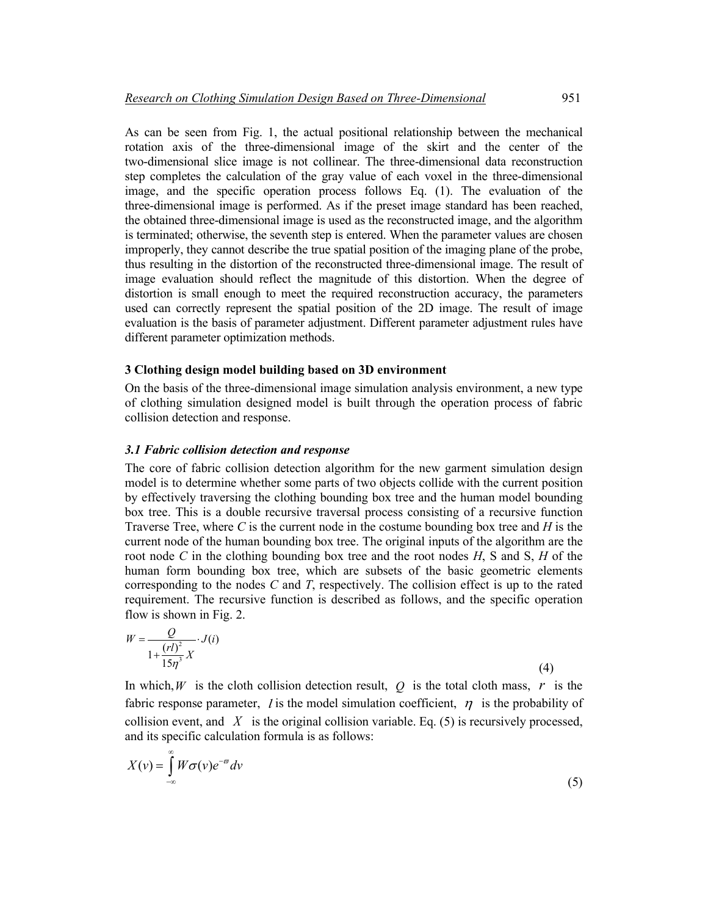As can be seen from Fig. 1, the actual positional relationship between the mechanical rotation axis of the three-dimensional image of the skirt and the center of the two-dimensional slice image is not collinear. The three-dimensional data reconstruction step completes the calculation of the gray value of each voxel in the three-dimensional image, and the specific operation process follows Eq. (1). The evaluation of the three-dimensional image is performed. As if the preset image standard has been reached, the obtained three-dimensional image is used as the reconstructed image, and the algorithm is terminated; otherwise, the seventh step is entered. When the parameter values are chosen improperly, they cannot describe the true spatial position of the imaging plane of the probe, thus resulting in the distortion of the reconstructed three-dimensional image. The result of image evaluation should reflect the magnitude of this distortion. When the degree of distortion is small enough to meet the required reconstruction accuracy, the parameters used can correctly represent the spatial position of the 2D image. The result of image evaluation is the basis of parameter adjustment. Different parameter adjustment rules have different parameter optimization methods.

#### **3 Clothing design model building based on 3D environment**

On the basis of the three-dimensional image simulation analysis environment, a new type of clothing simulation designed model is built through the operation process of fabric collision detection and response.

#### *3.1 Fabric collision detection and response*

The core of fabric collision detection algorithm for the new garment simulation design model is to determine whether some parts of two objects collide with the current position by effectively traversing the clothing bounding box tree and the human model bounding box tree. This is a double recursive traversal process consisting of a recursive function Traverse Tree, where *C* is the current node in the costume bounding box tree and *H* is the current node of the human bounding box tree. The original inputs of the algorithm are the root node *C* in the clothing bounding box tree and the root nodes *H*, S and S, *H* of the human form bounding box tree, which are subsets of the basic geometric elements corresponding to the nodes *C* and *T*, respectively. The collision effect is up to the rated requirement. The recursive function is described as follows, and the specific operation flow is shown in Fig. 2.

$$
W = \frac{Q}{1 + \frac{(r l)^2}{15 \eta^3} X} \cdot J(i)
$$
\n(4)

In which, *W* is the cloth collision detection result,  $Q$  is the total cloth mass,  $r$  is the fabric response parameter, *l* is the model simulation coefficient,  $\eta$  is the probability of collision event, and  $X$  is the original collision variable. Eq. (5) is recursively processed, and its specific calculation formula is as follows:

$$
X(v) = \int_{-\infty}^{\infty} W \sigma(v) e^{-\sigma} dv
$$
\n(5)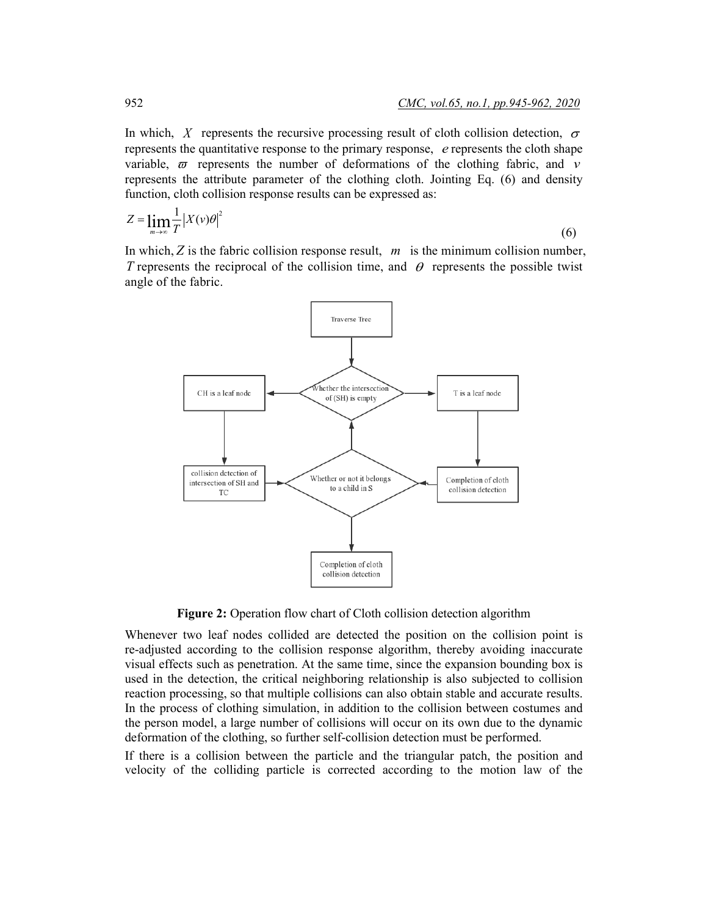In which, *X* represents the recursive processing result of cloth collision detection,  $\sigma$ represents the quantitative response to the primary response, *e* represents the cloth shape variable,  $\varpi$  represents the number of deformations of the clothing fabric, and  $\nu$ represents the attribute parameter of the clothing cloth. Jointing Eq. (6) and density function, cloth collision response results can be expressed as:

$$
Z = \lim_{m \to \infty} \frac{1}{T} \left| X(v)\theta \right|^2 \tag{6}
$$

In which, *Z* is the fabric collision response result, *m* is the minimum collision number, *T* represents the reciprocal of the collision time, and  $\theta$  represents the possible twist angle of the fabric.



**Figure 2:** Operation flow chart of Cloth collision detection algorithm

Whenever two leaf nodes collided are detected the position on the collision point is re-adjusted according to the collision response algorithm, thereby avoiding inaccurate visual effects such as penetration. At the same time, since the expansion bounding box is used in the detection, the critical neighboring relationship is also subjected to collision reaction processing, so that multiple collisions can also obtain stable and accurate results. In the process of clothing simulation, in addition to the collision between costumes and the person model, a large number of collisions will occur on its own due to the dynamic deformation of the clothing, so further self-collision detection must be performed.

If there is a collision between the particle and the triangular patch, the position and velocity of the colliding particle is corrected according to the motion law of the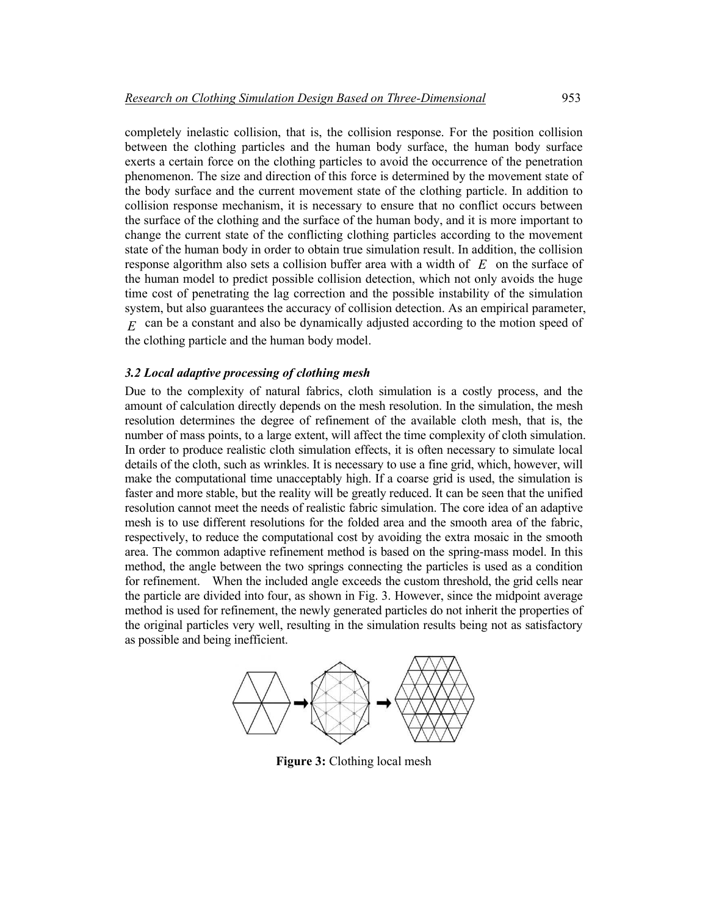completely inelastic collision, that is, the collision response. For the position collision between the clothing particles and the human body surface, the human body surface exerts a certain force on the clothing particles to avoid the occurrence of the penetration phenomenon. The size and direction of this force is determined by the movement state of the body surface and the current movement state of the clothing particle. In addition to collision response mechanism, it is necessary to ensure that no conflict occurs between the surface of the clothing and the surface of the human body, and it is more important to change the current state of the conflicting clothing particles according to the movement state of the human body in order to obtain true simulation result. In addition, the collision response algorithm also sets a collision buffer area with a width of *E* on the surface of the human model to predict possible collision detection, which not only avoids the huge time cost of penetrating the lag correction and the possible instability of the simulation system, but also guarantees the accuracy of collision detection. As an empirical parameter, *E* can be a constant and also be dynamically adjusted according to the motion speed of the clothing particle and the human body model.

#### *3.2 Local adaptive processing of clothing mesh*

Due to the complexity of natural fabrics, cloth simulation is a costly process, and the amount of calculation directly depends on the mesh resolution. In the simulation, the mesh resolution determines the degree of refinement of the available cloth mesh, that is, the number of mass points, to a large extent, will affect the time complexity of cloth simulation. In order to produce realistic cloth simulation effects, it is often necessary to simulate local details of the cloth, such as wrinkles. It is necessary to use a fine grid, which, however, will make the computational time unacceptably high. If a coarse grid is used, the simulation is faster and more stable, but the reality will be greatly reduced. It can be seen that the unified resolution cannot meet the needs of realistic fabric simulation. The core idea of an adaptive mesh is to use different resolutions for the folded area and the smooth area of the fabric, respectively, to reduce the computational cost by avoiding the extra mosaic in the smooth area. The common adaptive refinement method is based on the spring-mass model. In this method, the angle between the two springs connecting the particles is used as a condition for refinement. When the included angle exceeds the custom threshold, the grid cells near the particle are divided into four, as shown in Fig. 3. However, since the midpoint average method is used for refinement, the newly generated particles do not inherit the properties of the original particles very well, resulting in the simulation results being not as satisfactory as possible and being inefficient.



**Figure 3:** Clothing local mesh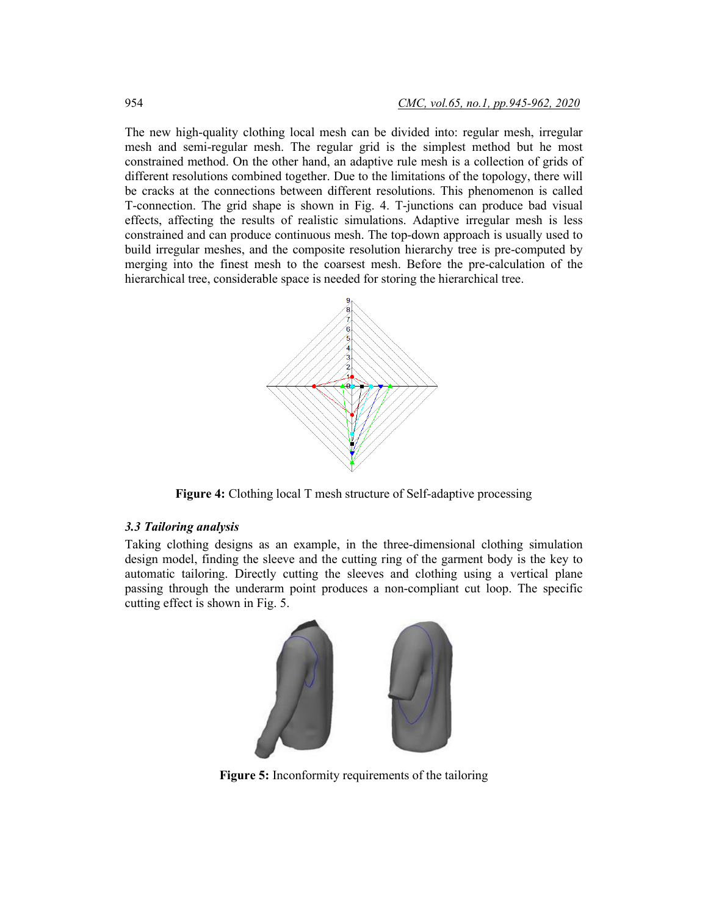The new high-quality clothing local mesh can be divided into: regular mesh, irregular mesh and semi-regular mesh. The regular grid is the simplest method but he most constrained method. On the other hand, an adaptive rule mesh is a collection of grids of different resolutions combined together. Due to the limitations of the topology, there will be cracks at the connections between different resolutions. This phenomenon is called T-connection. The grid shape is shown in Fig. 4. T-junctions can produce bad visual effects, affecting the results of realistic simulations. Adaptive irregular mesh is less constrained and can produce continuous mesh. The top-down approach is usually used to build irregular meshes, and the composite resolution hierarchy tree is pre-computed by merging into the finest mesh to the coarsest mesh. Before the pre-calculation of the hierarchical tree, considerable space is needed for storing the hierarchical tree.



**Figure 4:** Clothing local T mesh structure of Self-adaptive processing

#### *3.3 Tailoring analysis*

Taking clothing designs as an example, in the three-dimensional clothing simulation design model, finding the sleeve and the cutting ring of the garment body is the key to automatic tailoring. Directly cutting the sleeves and clothing using a vertical plane passing through the underarm point produces a non-compliant cut loop. The specific cutting effect is shown in Fig. 5.



**Figure 5:** Inconformity requirements of the tailoring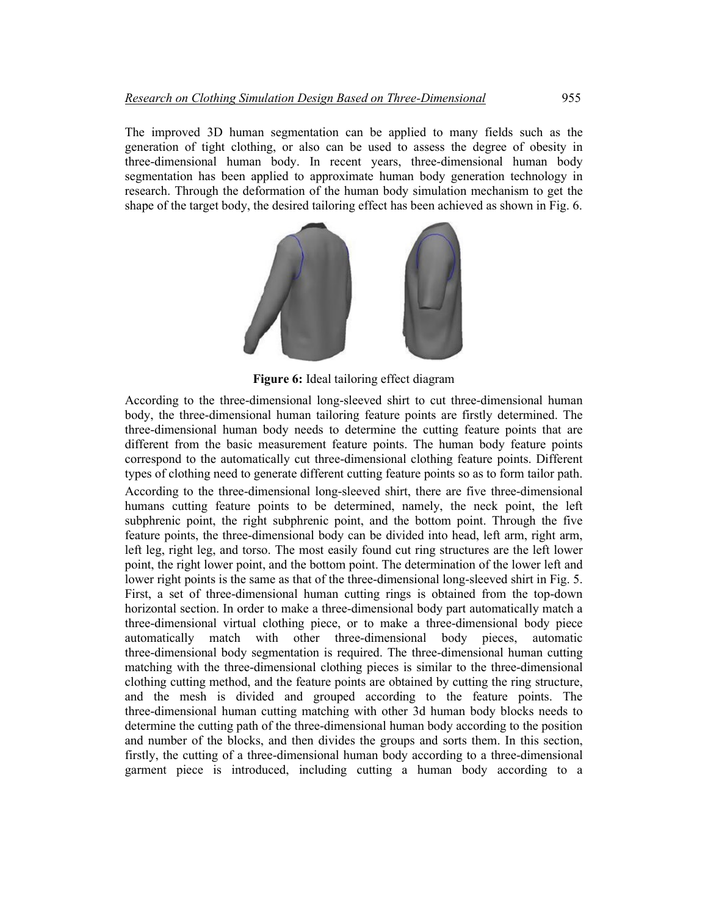The improved 3D human segmentation can be applied to many fields such as the generation of tight clothing, or also can be used to assess the degree of obesity in three-dimensional human body. In recent years, three-dimensional human body segmentation has been applied to approximate human body generation technology in research. Through the deformation of the human body simulation mechanism to get the shape of the target body, the desired tailoring effect has been achieved as shown in Fig. 6.



**Figure 6:** Ideal tailoring effect diagram

According to the three-dimensional long-sleeved shirt to cut three-dimensional human body, the three-dimensional human tailoring feature points are firstly determined. The three-dimensional human body needs to determine the cutting feature points that are different from the basic measurement feature points. The human body feature points correspond to the automatically cut three-dimensional clothing feature points. Different types of clothing need to generate different cutting feature points so as to form tailor path.

According to the three-dimensional long-sleeved shirt, there are five three-dimensional humans cutting feature points to be determined, namely, the neck point, the left subphrenic point, the right subphrenic point, and the bottom point. Through the five feature points, the three-dimensional body can be divided into head, left arm, right arm, left leg, right leg, and torso. The most easily found cut ring structures are the left lower point, the right lower point, and the bottom point. The determination of the lower left and lower right points is the same as that of the three-dimensional long-sleeved shirt in Fig. 5. First, a set of three-dimensional human cutting rings is obtained from the top-down horizontal section. In order to make a three-dimensional body part automatically match a three-dimensional virtual clothing piece, or to make a three-dimensional body piece automatically match with other three-dimensional body pieces, automatic three-dimensional body segmentation is required. The three-dimensional human cutting matching with the three-dimensional clothing pieces is similar to the three-dimensional clothing cutting method, and the feature points are obtained by cutting the ring structure, and the mesh is divided and grouped according to the feature points. The three-dimensional human cutting matching with other 3d human body blocks needs to determine the cutting path of the three-dimensional human body according to the position and number of the blocks, and then divides the groups and sorts them. In this section, firstly, the cutting of a three-dimensional human body according to a three-dimensional garment piece is introduced, including cutting a human body according to a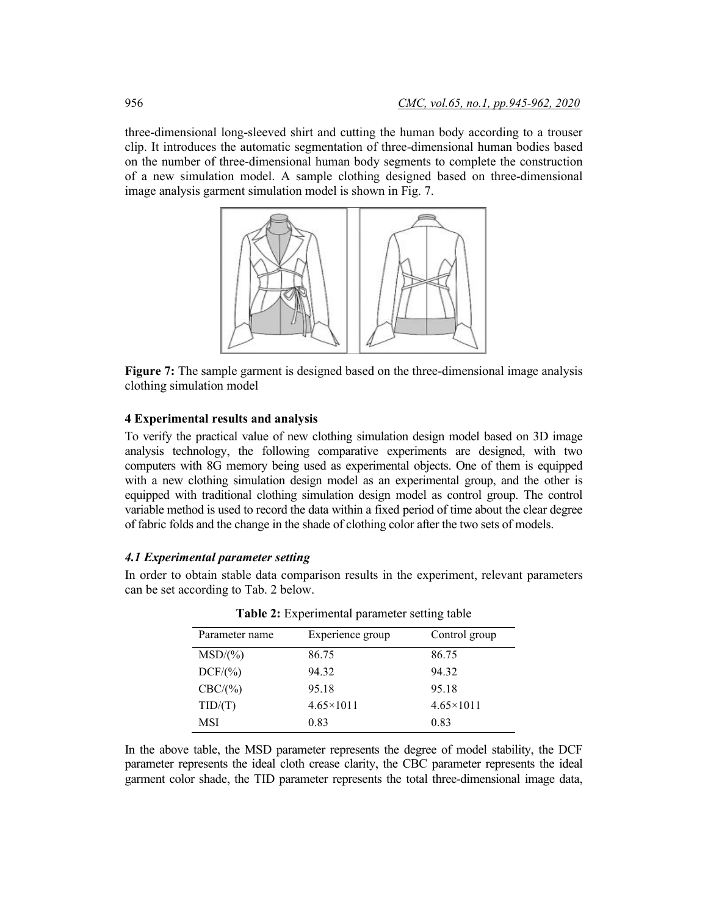three-dimensional long-sleeved shirt and cutting the human body according to a trouser clip. It introduces the automatic segmentation of three-dimensional human bodies based on the number of three-dimensional human body segments to complete the construction of a new simulation model. A sample clothing designed based on three-dimensional image analysis garment simulation model is shown in Fig. 7.



**Figure 7:** The sample garment is designed based on the three-dimensional image analysis clothing simulation model

#### **4 Experimental results and analysis**

To verify the practical value of new clothing simulation design model based on 3D image analysis technology, the following comparative experiments are designed, with two computers with 8G memory being used as experimental objects. One of them is equipped with a new clothing simulation design model as an experimental group, and the other is equipped with traditional clothing simulation design model as control group. The control variable method is used to record the data within a fixed period of time about the clear degree of fabric folds and the change in the shade of clothing color after the two sets of models.

#### *4.1 Experimental parameter setting*

In order to obtain stable data comparison results in the experiment, relevant parameters can be set according to Tab. 2 below.

| Parameter name | Experience group   | Control group      |
|----------------|--------------------|--------------------|
| $MSD/(\%)$     | 86.75              | 86.75              |
| DCF/(%)        | 94.32              | 94.32              |
| CBC/(%)        | 95.18              | 95.18              |
| TID/(T)        | $4.65 \times 1011$ | $4.65 \times 1011$ |
| MSI            | 0.83               | 0.83               |

**Table 2:** Experimental parameter setting table

In the above table, the MSD parameter represents the degree of model stability, the DCF parameter represents the ideal cloth crease clarity, the CBC parameter represents the ideal garment color shade, the TID parameter represents the total three-dimensional image data,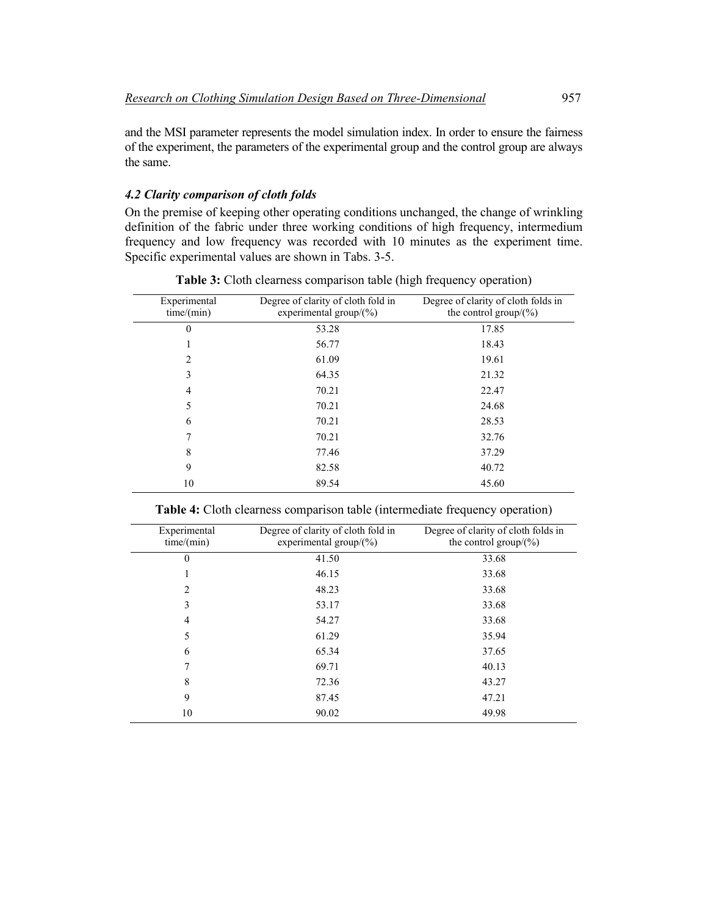and the MSI parameter represents the model simulation index. In order to ensure the fairness of the experiment, the parameters of the experimental group and the control group are always the same.

# *4.2 Clarity comparison of cloth folds*

On the premise of keeping other operating conditions unchanged, the change of wrinkling definition of the fabric under three working conditions of high frequency, intermedium frequency and low frequency was recorded with 10 minutes as the experiment time. Specific experimental values are shown in Tabs. 3-5.

| Experimental<br>time/(min) | Degree of clarity of cloth fold in<br>experimental group/ $(\% )$ | Degree of clarity of cloth folds in<br>the control group/ $(\% )$ |
|----------------------------|-------------------------------------------------------------------|-------------------------------------------------------------------|
| $\theta$                   | 53.28                                                             | 17.85                                                             |
|                            | 56.77                                                             | 18.43                                                             |
| 2                          | 61.09                                                             | 19.61                                                             |
| 3                          | 64.35                                                             | 21.32                                                             |
| 4                          | 70.21                                                             | 22.47                                                             |
| 5                          | 70.21                                                             | 24.68                                                             |
| 6                          | 70.21                                                             | 28.53                                                             |
|                            | 70.21                                                             | 32.76                                                             |
| 8                          | 77.46                                                             | 37.29                                                             |
| 9                          | 82.58                                                             | 40.72                                                             |
| 10                         | 89.54                                                             | 45.60                                                             |

**Table 3:** Cloth clearness comparison table (high frequency operation)

| Experimental<br>time/(min) | Degree of clarity of cloth fold in<br>experimental group/ $(\% )$ | Degree of clarity of cloth folds in<br>the control group/ $(\%)$ |
|----------------------------|-------------------------------------------------------------------|------------------------------------------------------------------|
| $\theta$                   | 41.50                                                             | 33.68                                                            |
|                            | 46.15                                                             | 33.68                                                            |
| $\overline{c}$             | 48.23                                                             | 33.68                                                            |
| 3                          | 53.17                                                             | 33.68                                                            |
| 4                          | 54.27                                                             | 33.68                                                            |
| 5                          | 61.29                                                             | 35.94                                                            |
| 6                          | 65.34                                                             | 37.65                                                            |
|                            | 69.71                                                             | 40.13                                                            |
| 8                          | 72.36                                                             | 43.27                                                            |
| 9                          | 87.45                                                             | 47.21                                                            |
| 10                         | 90.02                                                             | 49.98                                                            |

**Table 4:** Cloth clearness comparison table (intermediate frequency operation)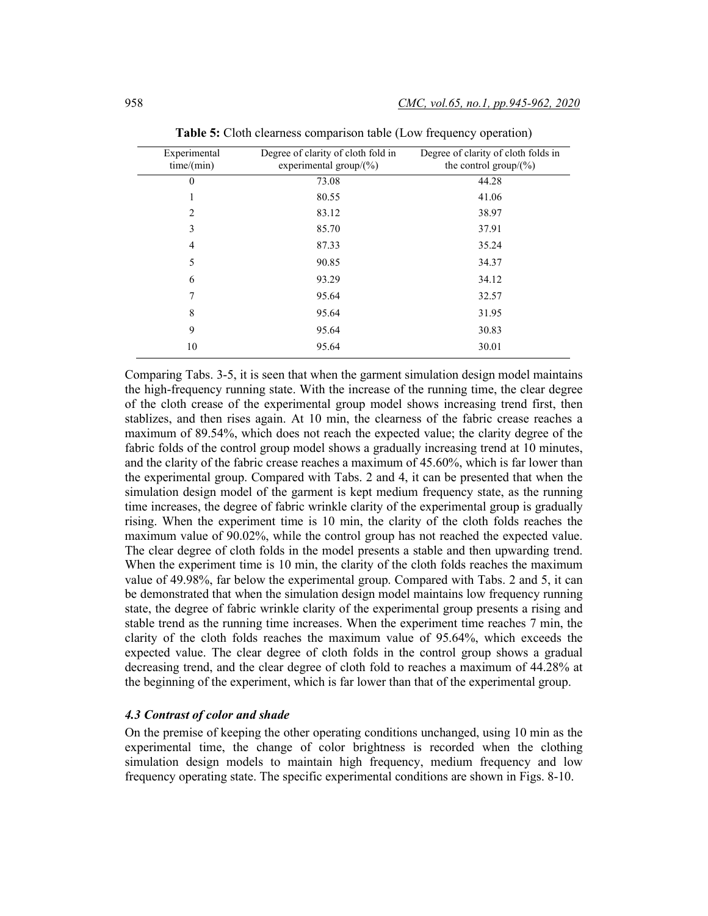| Experimental<br>time/(min) | Degree of clarity of cloth fold in<br>experimental group/ $(\% )$ | Degree of clarity of cloth folds in<br>the control group/ $(\% )$ |
|----------------------------|-------------------------------------------------------------------|-------------------------------------------------------------------|
| $\theta$                   | 73.08                                                             | 44.28                                                             |
|                            | 80.55                                                             | 41.06                                                             |
| 2                          | 83.12                                                             | 38.97                                                             |
| 3                          | 85.70                                                             | 37.91                                                             |
| 4                          | 87.33                                                             | 35.24                                                             |
| 5                          | 90.85                                                             | 34.37                                                             |
| 6                          | 93.29                                                             | 34.12                                                             |
| 7                          | 95.64                                                             | 32.57                                                             |
| 8                          | 95.64                                                             | 31.95                                                             |
| 9                          | 95.64                                                             | 30.83                                                             |
| 10                         | 95.64                                                             | 30.01                                                             |

**Table 5:** Cloth clearness comparison table (Low frequency operation)

Comparing Tabs. 3-5, it is seen that when the garment simulation design model maintains the high-frequency running state. With the increase of the running time, the clear degree of the cloth crease of the experimental group model shows increasing trend first, then stablizes, and then rises again. At 10 min, the clearness of the fabric crease reaches a maximum of 89.54%, which does not reach the expected value; the clarity degree of the fabric folds of the control group model shows a gradually increasing trend at 10 minutes, and the clarity of the fabric crease reaches a maximum of 45.60%, which is far lower than the experimental group. Compared with Tabs. 2 and 4, it can be presented that when the simulation design model of the garment is kept medium frequency state, as the running time increases, the degree of fabric wrinkle clarity of the experimental group is gradually rising. When the experiment time is 10 min, the clarity of the cloth folds reaches the maximum value of 90.02%, while the control group has not reached the expected value. The clear degree of cloth folds in the model presents a stable and then upwarding trend. When the experiment time is 10 min, the clarity of the cloth folds reaches the maximum value of 49.98%, far below the experimental group. Compared with Tabs. 2 and 5, it can be demonstrated that when the simulation design model maintains low frequency running state, the degree of fabric wrinkle clarity of the experimental group presents a rising and stable trend as the running time increases. When the experiment time reaches 7 min, the clarity of the cloth folds reaches the maximum value of 95.64%, which exceeds the expected value. The clear degree of cloth folds in the control group shows a gradual decreasing trend, and the clear degree of cloth fold to reaches a maximum of 44.28% at the beginning of the experiment, which is far lower than that of the experimental group.

#### *4.3 Contrast of color and shade*

On the premise of keeping the other operating conditions unchanged, using 10 min as the experimental time, the change of color brightness is recorded when the clothing simulation design models to maintain high frequency, medium frequency and low frequency operating state. The specific experimental conditions are shown in Figs. 8-10.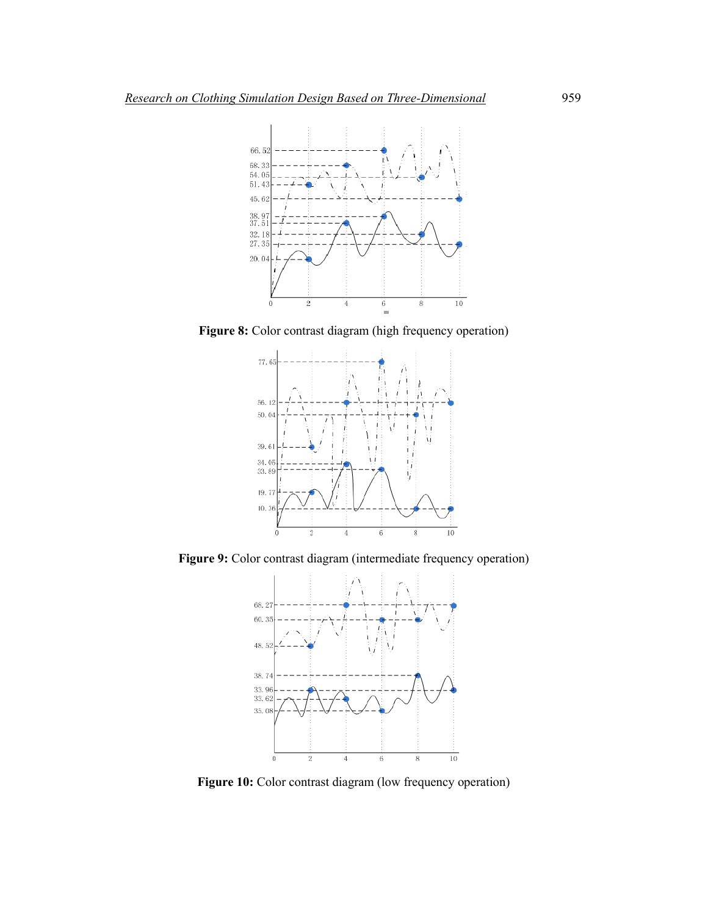

**Figure 8:** Color contrast diagram (high frequency operation)



**Figure 9:** Color contrast diagram (intermediate frequency operation)



Figure 10: Color contrast diagram (low frequency operation)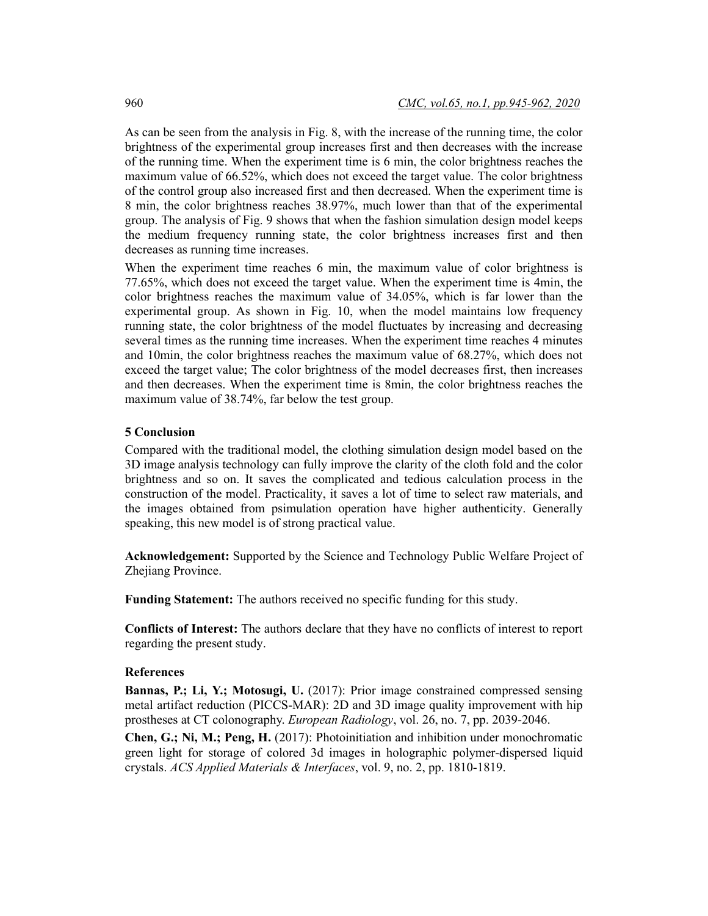As can be seen from the analysis in Fig. 8, with the increase of the running time, the color brightness of the experimental group increases first and then decreases with the increase of the running time. When the experiment time is 6 min, the color brightness reaches the maximum value of 66.52%, which does not exceed the target value. The color brightness of the control group also increased first and then decreased. When the experiment time is 8 min, the color brightness reaches 38.97%, much lower than that of the experimental group. The analysis of Fig. 9 shows that when the fashion simulation design model keeps the medium frequency running state, the color brightness increases first and then decreases as running time increases.

When the experiment time reaches 6 min, the maximum value of color brightness is 77.65%, which does not exceed the target value. When the experiment time is 4min, the color brightness reaches the maximum value of 34.05%, which is far lower than the experimental group. As shown in Fig. 10, when the model maintains low frequency running state, the color brightness of the model fluctuates by increasing and decreasing several times as the running time increases. When the experiment time reaches 4 minutes and 10min, the color brightness reaches the maximum value of 68.27%, which does not exceed the target value; The color brightness of the model decreases first, then increases and then decreases. When the experiment time is 8min, the color brightness reaches the maximum value of 38.74%, far below the test group.

## **5 Conclusion**

Compared with the traditional model, the clothing simulation design model based on the 3D image analysis technology can fully improve the clarity of the cloth fold and the color brightness and so on. It saves the complicated and tedious calculation process in the construction of the model. Practicality, it saves a lot of time to select raw materials, and the images obtained from psimulation operation have higher authenticity. Generally speaking, this new model is of strong practical value.

**Acknowledgement:** Supported by the Science and Technology Public Welfare Project of Zhejiang Province.

**Funding Statement:** The authors received no specific funding for this study.

**Conflicts of Interest:** The authors declare that they have no conflicts of interest to report regarding the present study.

#### **References**

**Bannas, P.; Li, Y.; Motosugi, U.** (2017): Prior image constrained compressed sensing metal artifact reduction (PICCS-MAR): 2D and 3D image quality improvement with hip prostheses at CT colonography. *European Radiology*, vol. 26, no. 7, pp. 2039-2046.

**Chen, G.; Ni, M.; Peng, H.** (2017): Photoinitiation and inhibition under monochromatic green light for storage of colored 3d images in holographic polymer-dispersed liquid crystals. *ACS Applied Materials & Interfaces*, vol. 9, no. 2, pp. 1810-1819.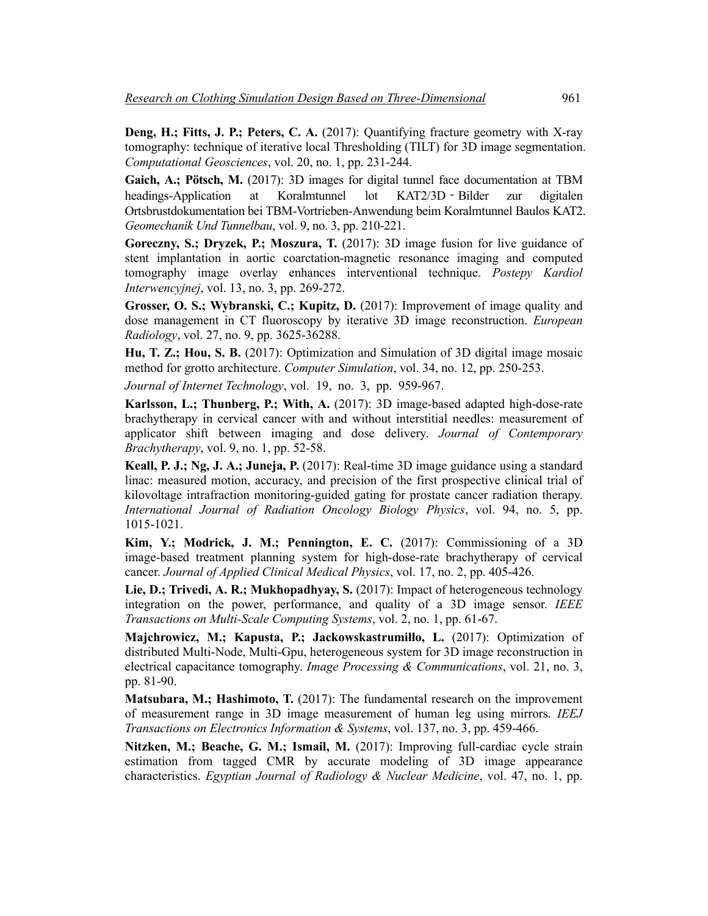**Deng, H.; Fitts, J. P.; Peters, C. A.** (2017): Quantifying fracture geometry with X-ray tomography: technique of iterative local Thresholding (TILT) for 3D image segmentation. *Computational Geosciences*, vol. 20, no. 1, pp. 231-244.

**Gaich, A.; Pötsch, M.** (2017): 3D images for digital tunnel face documentation at TBM headings-Application at Koralmtunnel lot KAT2/3D‐Bilder zur digitalen Ortsbrustdokumentation bei TBM-Vortrieben-Anwendung beim Koralmtunnel Baulos KAT2. *Geomechanik Und Tunnelbau*, vol. 9, no. 3, pp. 210-221.

**Goreczny, S.; Dryzek, P.; Moszura, T.** (2017): 3D image fusion for live guidance of stent implantation in aortic coarctation-magnetic resonance imaging and computed tomography image overlay enhances interventional technique. *Postepy Kardiol Interwencyjnej*, vol. 13, no. 3, pp. 269-272.

**Grosser, O. S.; Wybranski, C.; Kupitz, D.** (2017): Improvement of image quality and dose management in CT fluoroscopy by iterative 3D image reconstruction. *European Radiology*, vol. 27, no. 9, pp. 3625-36288.

**Hu, T. Z.; Hou, S. B.** (2017): Optimization and Simulation of 3D digital image mosaic method for grotto architecture. *Computer Simulation*, vol. 34, no. 12, pp. 250-253.

*Journal of Internet Technology*, vol. 19, no. 3, pp. 959-967.

**Karlsson, L.; Thunberg, P.; With, A.** (2017): 3D image-based adapted high-dose-rate brachytherapy in cervical cancer with and without interstitial needles: measurement of applicator shift between imaging and dose delivery. *Journal of Contemporary Brachytherapy*, vol. 9, no. 1, pp. 52-58.

**Keall, P. J.; Ng, J. A.; Juneja, P.** (2017): Real-time 3D image guidance using a standard linac: measured motion, accuracy, and precision of the first prospective clinical trial of kilovoltage intrafraction monitoring-guided gating for prostate cancer radiation therapy. *International Journal of Radiation Oncology Biology Physics*, vol. 94, no. 5, pp. 1015-1021.

**Kim, Y.; Modrick, J. M.; Pennington, E. C.** (2017): Commissioning of a 3D image-based treatment planning system for high-dose-rate brachytherapy of cervical cancer. *Journal of Applied Clinical Medical Physics*, vol. 17, no. 2, pp. 405-426.

**Lie, D.; Trivedi, A. R.; Mukhopadhyay, S.** (2017): Impact of heterogeneous technology integration on the power, performance, and quality of a 3D image sensor. *IEEE Transactions on Multi-Scale Computing Systems*, vol. 2, no. 1, pp. 61-67.

**Majchrowicz, M.; Kapusta, P.; Jackowskastrumiłło, L.** (2017): Optimization of distributed Multi-Node, Multi-Gpu, heterogeneous system for 3D image reconstruction in electrical capacitance tomography. *Image Processing & Communications*, vol. 21, no. 3, pp. 81-90.

**Matsubara, M.; Hashimoto, T.** (2017): The fundamental research on the improvement of measurement range in 3D image measurement of human leg using mirrors. *IEEJ Transactions on Electronics Information & Systems*, vol. 137, no. 3, pp. 459-466.

**Nitzken, M.; Beache, G. M.; Ismail, M.** (2017): Improving full-cardiac cycle strain estimation from tagged CMR by accurate modeling of 3D image appearance characteristics. *Egyptian Journal of Radiology & Nuclear Medicine*, vol. 47, no. 1, pp.